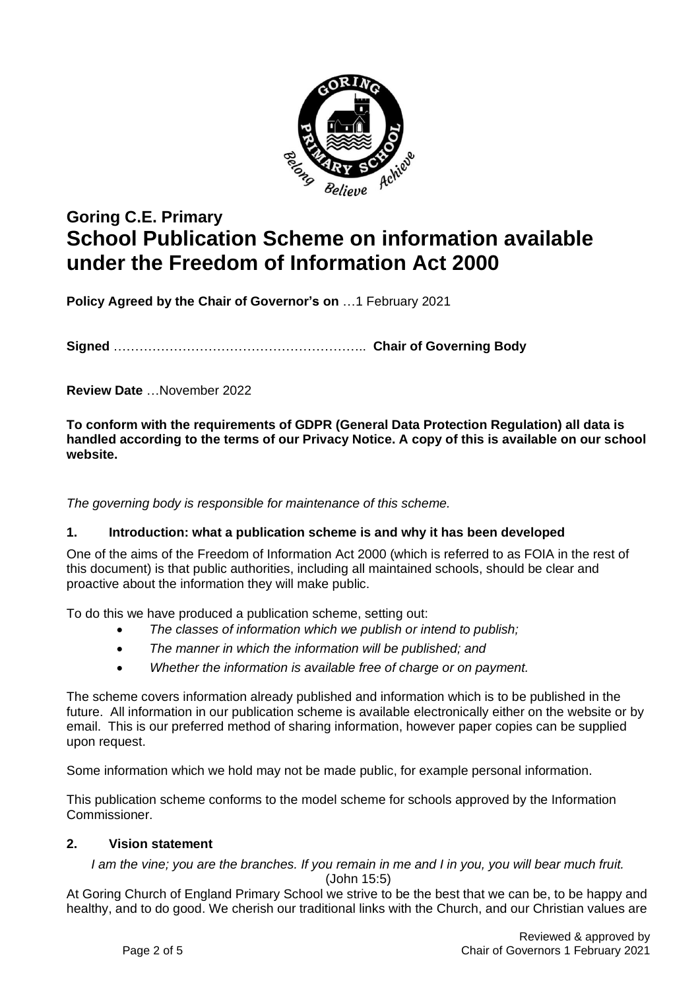

# **Goring C.E. Primary School Publication Scheme on information available under the Freedom of Information Act 2000**

**Policy Agreed by the Chair of Governor's on** …1 February 2021

**Signed** ………………………………………………….. **Chair of Governing Body**

**Review Date** …November 2022

**To conform with the requirements of GDPR (General Data Protection Regulation) all data is handled according to the terms of our Privacy Notice. A copy of this is available on our school website.**

*The governing body is responsible for maintenance of this scheme.*

#### **1. Introduction: what a publication scheme is and why it has been developed**

One of the aims of the Freedom of Information Act 2000 (which is referred to as FOIA in the rest of this document) is that public authorities, including all maintained schools, should be clear and proactive about the information they will make public.

To do this we have produced a publication scheme, setting out:

- *The classes of information which we publish or intend to publish;*
- *The manner in which the information will be published; and*
- *Whether the information is available free of charge or on payment.*

The scheme covers information already published and information which is to be published in the future. All information in our publication scheme is available electronically either on the website or by email. This is our preferred method of sharing information, however paper copies can be supplied upon request.

Some information which we hold may not be made public, for example personal information.

This publication scheme conforms to the model scheme for schools approved by the Information Commissioner.

#### **2. Vision statement**

*I am the vine; you are the branches. If you remain in me and I in you, you will bear much fruit.*

(John 15:5)

At Goring Church of England Primary School we strive to be the best that we can be, to be happy and healthy, and to do good. We cherish our traditional links with the Church, and our Christian values are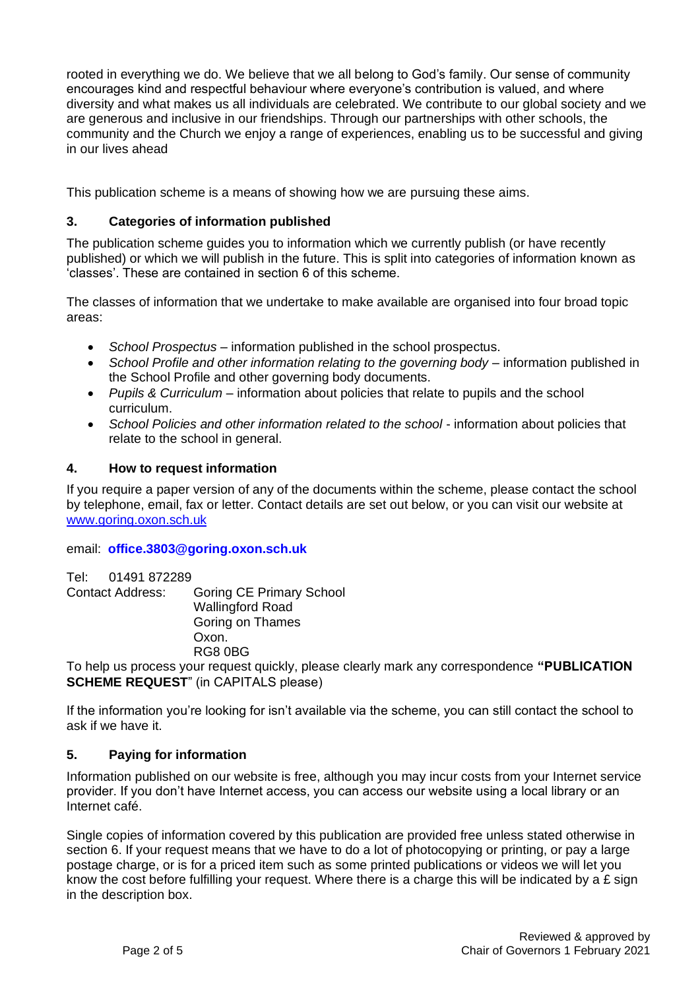rooted in everything we do. We believe that we all belong to God's family. Our sense of community encourages kind and respectful behaviour where everyone's contribution is valued, and where diversity and what makes us all individuals are celebrated. We contribute to our global society and we are generous and inclusive in our friendships. Through our partnerships with other schools, the community and the Church we enjoy a range of experiences, enabling us to be successful and giving in our lives ahead

This publication scheme is a means of showing how we are pursuing these aims.

### **3. Categories of information published**

The publication scheme guides you to information which we currently publish (or have recently published) or which we will publish in the future. This is split into categories of information known as 'classes'. These are contained in section 6 of this scheme.

The classes of information that we undertake to make available are organised into four broad topic areas:

- *School Prospectus* information published in the school prospectus.
- *School Profile and other information relating to the governing body* information published in the School Profile and other governing body documents.
- *Pupils & Curriculum* information about policies that relate to pupils and the school curriculum.
- *School Policies and other information related to the school* information about policies that relate to the school in general.

#### **4. How to request information**

If you require a paper version of any of the documents within the scheme, please contact the school by telephone, email, fax or letter. Contact details are set out below, or you can visit our website at [www.goring.oxon.sch.uk](about:blank)

#### email: **[office.3803@goring.oxon.sch.uk](about:blank)**

Tel: 01491 872289 Contact Address: Goring CE Primary School Wallingford Road Goring on Thames Oxon. RG8 0BG

To help us process your request quickly, please clearly mark any correspondence **"PUBLICATION SCHEME REQUEST**" (in CAPITALS please)

If the information you're looking for isn't available via the scheme, you can still contact the school to ask if we have it.

#### **5. Paying for information**

Information published on our website is free, although you may incur costs from your Internet service provider. If you don't have Internet access, you can access our website using a local library or an Internet café.

Single copies of information covered by this publication are provided free unless stated otherwise in section 6. If your request means that we have to do a lot of photocopying or printing, or pay a large postage charge, or is for a priced item such as some printed publications or videos we will let you know the cost before fulfilling your request. Where there is a charge this will be indicated by a £ sign in the description box.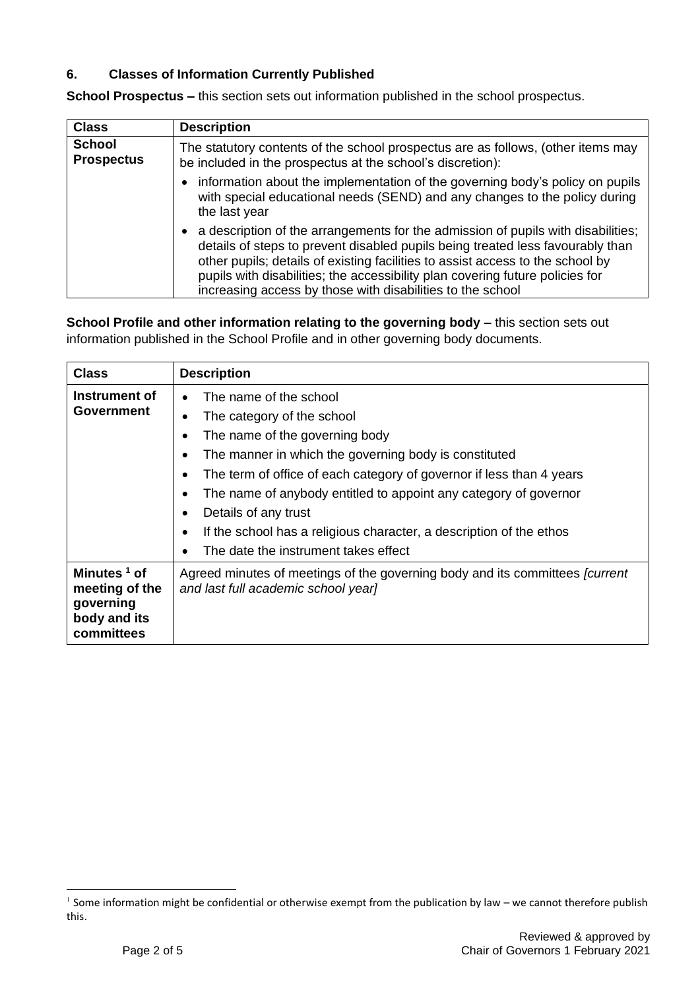## **6. Classes of Information Currently Published**

**School Prospectus –** this section sets out information published in the school prospectus.

| <b>Class</b>                       | <b>Description</b>                                                                                                                                                                                                                                                                                                                                                                                  |
|------------------------------------|-----------------------------------------------------------------------------------------------------------------------------------------------------------------------------------------------------------------------------------------------------------------------------------------------------------------------------------------------------------------------------------------------------|
| <b>School</b><br><b>Prospectus</b> | The statutory contents of the school prospectus are as follows, (other items may<br>be included in the prospectus at the school's discretion):                                                                                                                                                                                                                                                      |
|                                    | • information about the implementation of the governing body's policy on pupils<br>with special educational needs (SEND) and any changes to the policy during<br>the last year                                                                                                                                                                                                                      |
|                                    | a description of the arrangements for the admission of pupils with disabilities;<br>details of steps to prevent disabled pupils being treated less favourably than<br>other pupils; details of existing facilities to assist access to the school by<br>pupils with disabilities; the accessibility plan covering future policies for<br>increasing access by those with disabilities to the school |

**School Profile and other information relating to the governing body –** this section sets out information published in the School Profile and in other governing body documents.

| <b>Class</b>                                                                | <b>Description</b>                                                                                                                                                                                                                                                                                                                                                                                                                                                                                       |
|-----------------------------------------------------------------------------|----------------------------------------------------------------------------------------------------------------------------------------------------------------------------------------------------------------------------------------------------------------------------------------------------------------------------------------------------------------------------------------------------------------------------------------------------------------------------------------------------------|
| Instrument of<br>Government                                                 | The name of the school<br>$\bullet$<br>The category of the school<br>The name of the governing body<br>The manner in which the governing body is constituted<br>$\bullet$<br>The term of office of each category of governor if less than 4 years<br>$\bullet$<br>The name of anybody entitled to appoint any category of governor<br>Details of any trust<br>٠<br>If the school has a religious character, a description of the ethos<br>$\bullet$<br>The date the instrument takes effect<br>$\bullet$ |
| Minutes $1$ of<br>meeting of the<br>governing<br>body and its<br>committees | Agreed minutes of meetings of the governing body and its committees <i>fcurrent</i><br>and last full academic school year]                                                                                                                                                                                                                                                                                                                                                                               |

 $1$  Some information might be confidential or otherwise exempt from the publication by law – we cannot therefore publish this.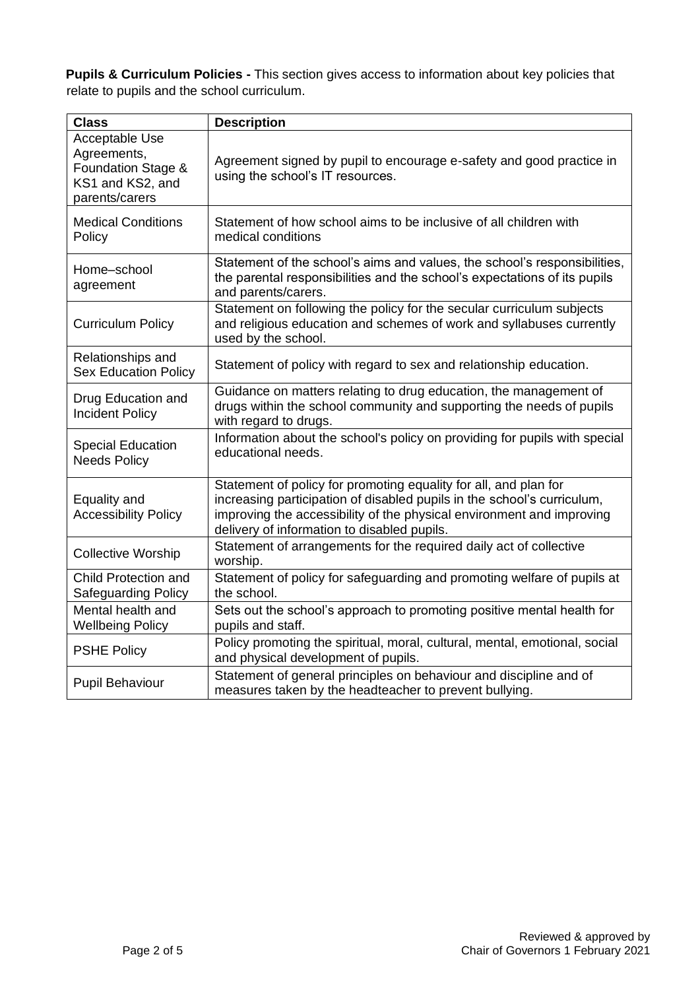**Pupils & Curriculum Policies -** This section gives access to information about key policies that relate to pupils and the school curriculum.

| <b>Class</b>                                                                              | <b>Description</b>                                                                                                                                                                                                                                                  |
|-------------------------------------------------------------------------------------------|---------------------------------------------------------------------------------------------------------------------------------------------------------------------------------------------------------------------------------------------------------------------|
| Acceptable Use<br>Agreements,<br>Foundation Stage &<br>KS1 and KS2, and<br>parents/carers | Agreement signed by pupil to encourage e-safety and good practice in<br>using the school's IT resources.                                                                                                                                                            |
| <b>Medical Conditions</b><br>Policy                                                       | Statement of how school aims to be inclusive of all children with<br>medical conditions                                                                                                                                                                             |
| Home-school<br>agreement                                                                  | Statement of the school's aims and values, the school's responsibilities,<br>the parental responsibilities and the school's expectations of its pupils<br>and parents/carers.                                                                                       |
| <b>Curriculum Policy</b>                                                                  | Statement on following the policy for the secular curriculum subjects<br>and religious education and schemes of work and syllabuses currently<br>used by the school.                                                                                                |
| Relationships and<br><b>Sex Education Policy</b>                                          | Statement of policy with regard to sex and relationship education.                                                                                                                                                                                                  |
| Drug Education and<br><b>Incident Policy</b>                                              | Guidance on matters relating to drug education, the management of<br>drugs within the school community and supporting the needs of pupils<br>with regard to drugs.                                                                                                  |
| <b>Special Education</b><br><b>Needs Policy</b>                                           | Information about the school's policy on providing for pupils with special<br>educational needs.                                                                                                                                                                    |
| Equality and<br><b>Accessibility Policy</b>                                               | Statement of policy for promoting equality for all, and plan for<br>increasing participation of disabled pupils in the school's curriculum,<br>improving the accessibility of the physical environment and improving<br>delivery of information to disabled pupils. |
| <b>Collective Worship</b>                                                                 | Statement of arrangements for the required daily act of collective<br>worship.                                                                                                                                                                                      |
| Child Protection and<br><b>Safeguarding Policy</b>                                        | Statement of policy for safeguarding and promoting welfare of pupils at<br>the school.                                                                                                                                                                              |
| Mental health and<br><b>Wellbeing Policy</b>                                              | Sets out the school's approach to promoting positive mental health for<br>pupils and staff.                                                                                                                                                                         |
| <b>PSHE Policy</b>                                                                        | Policy promoting the spiritual, moral, cultural, mental, emotional, social<br>and physical development of pupils.                                                                                                                                                   |
| <b>Pupil Behaviour</b>                                                                    | Statement of general principles on behaviour and discipline and of<br>measures taken by the headteacher to prevent bullying.                                                                                                                                        |